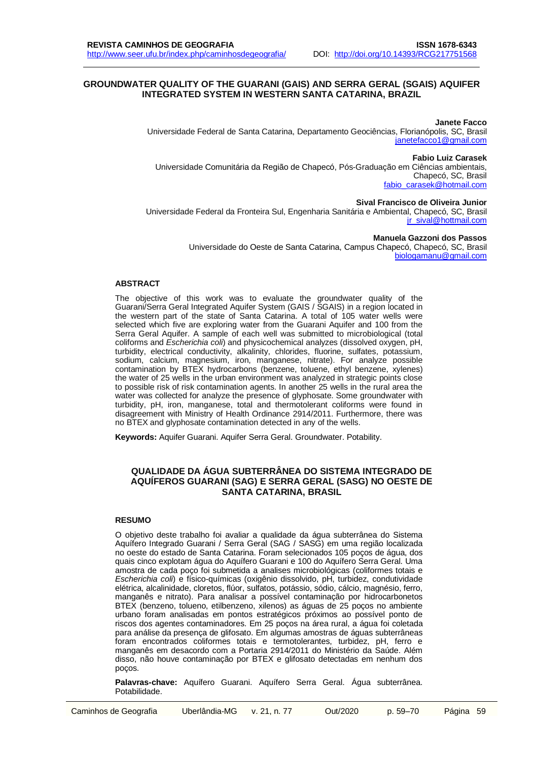#### **GROUNDWATER QUALITY OF THE GUARANI (GAIS) AND SERRA GERAL (SGAIS) AQUIFER INTEGRATED SYSTEM IN WESTERN SANTA CATARINA, BRAZIL**

**Janete Facco** Universidade Federal de Santa Catarina, Departamento Geociências, Florianópolis, SC, Brasil [janetefacco1@gmail.com](mailto:janetefacco1@gmail.com)

**Fabio Luiz Carasek**

Universidade Comunitária da Região de Chapecó, Pós-Graduação em Ciências ambientais, Chapecó, SC, Brasil [fabio\\_carasek@hotmail.com](mailto:fabio_carasek@hotmail.com)

### **Sival Francisco de Oliveira Junior**

Universidade Federal da Fronteira Sul, Engenharia Sanitária e Ambiental, Chapecó, SC, Brasil [jr\\_sival@hottmail.com](mailto:endereço_de@e-mail.com)

#### **Manuela Gazzoni dos Passos**

Universidade do Oeste de Santa Catarina, Campus Chapecó, Chapecó, SC, Brasil [biologamanu@gmail.com](mailto:endereço_de@e-mail.com)

#### **ABSTRACT**

The objective of this work was to evaluate the groundwater quality of the Guarani/Serra Geral Integrated Aquifer System (GAIS / SGAIS) in a region located in the western part of the state of Santa Catarina. A total of 105 water wells were selected which five are exploring water from the Guarani Aquifer and 100 from the Serra Geral Aquifer. A sample of each well was submitted to microbiological (total coliforms and *Escherichia coli*) and physicochemical analyzes (dissolved oxygen, pH, turbidity, electrical conductivity, alkalinity, chlorides, fluorine, sulfates, potassium, sodium, calcium, magnesium, iron, manganese, nitrate). For analyze possible contamination by BTEX hydrocarbons (benzene, toluene, ethyl benzene, xylenes) the water of 25 wells in the urban environment was analyzed in strategic points close to possible risk of risk contamination agents. In another 25 wells in the rural area the water was collected for analyze the presence of glyphosate. Some groundwater with turbidity, pH, iron, manganese, total and thermotolerant coliforms were found in disagreement with Ministry of Health Ordinance 2914/2011. Furthermore, there was no BTEX and glyphosate contamination detected in any of the wells.

**Keywords:** Aquifer Guarani. Aquifer Serra Geral. Groundwater. Potability.

### **QUALIDADE DA ÁGUA SUBTERRÂNEA DO SISTEMA INTEGRADO DE AQUÍFEROS GUARANI (SAG) E SERRA GERAL (SASG) NO OESTE DE SANTA CATARINA, BRASIL**

#### **RESUMO**

O objetivo deste trabalho foi avaliar a qualidade da água subterrânea do Sistema Aquífero Integrado Guarani / Serra Geral (SAG / SASG) em uma região localizada no oeste do estado de Santa Catarina. Foram selecionados 105 poços de água, dos quais cinco explotam água do Aquífero Guarani e 100 do Aquífero Serra Geral. Uma amostra de cada poço foi submetida a analises microbiológicas (coliformes totais e *Escherichia coli*) e físico-químicas (oxigênio dissolvido, pH, turbidez, condutividade elétrica, alcalinidade, cloretos, flúor, sulfatos, potássio, sódio, cálcio, magnésio, ferro, manganês e nitrato). Para analisar a possível contaminação por hidrocarbonetos BTEX (benzeno, tolueno, etilbenzeno, xilenos) as águas de 25 poços no ambiente urbano foram analisadas em pontos estratégicos próximos ao possível ponto de riscos dos agentes contaminadores. Em 25 poços na área rural, a água foi coletada para análise da presença de glifosato. Em algumas amostras de águas subterrâneas foram encontrados coliformes totais e termotolerantes, turbidez, pH, ferro e manganês em desacordo com a Portaria 2914/2011 do Ministério da Saúde. Além disso, não houve contaminação por BTEX e glifosato detectadas em nenhum dos poços.

**Palavras-chave:** Aquífero Guarani. Aquífero Serra Geral. Água subterrânea. Potabilidade.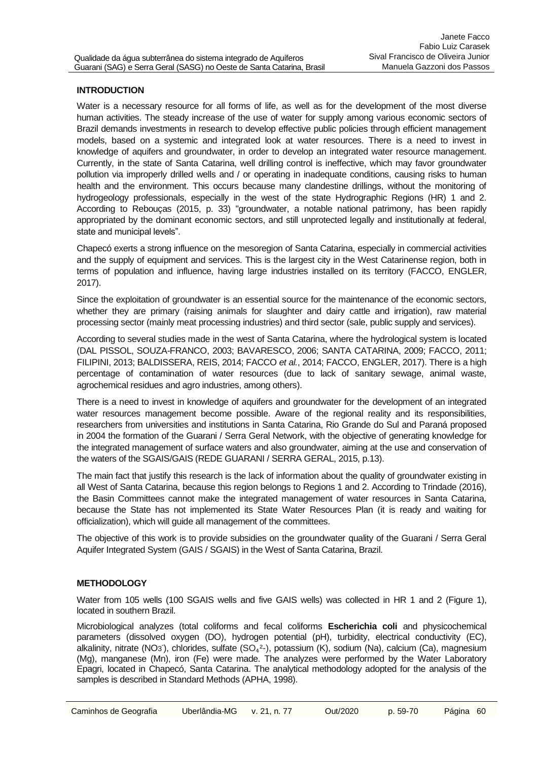## **INTRODUCTION**

Water is a necessary resource for all forms of life, as well as for the development of the most diverse human activities. The steady increase of the use of water for supply among various economic sectors of Brazil demands investments in research to develop effective public policies through efficient management models, based on a systemic and integrated look at water resources. There is a need to invest in knowledge of aquifers and groundwater, in order to develop an integrated water resource management. Currently, in the state of Santa Catarina, well drilling control is ineffective, which may favor groundwater pollution via improperly drilled wells and / or operating in inadequate conditions, causing risks to human health and the environment. This occurs because many clandestine drillings, without the monitoring of hydrogeology professionals, especially in the west of the state Hydrographic Regions (HR) 1 and 2. According to Rebouças (2015, p. 33) "groundwater, a notable national patrimony, has been rapidly appropriated by the dominant economic sectors, and still unprotected legally and institutionally at federal, state and municipal levels".

Chapecó exerts a strong influence on the mesoregion of Santa Catarina, especially in commercial activities and the supply of equipment and services. This is the largest city in the West Catarinense region, both in terms of population and influence, having large industries installed on its territory (FACCO, ENGLER, 2017).

Since the exploitation of groundwater is an essential source for the maintenance of the economic sectors, whether they are primary (raising animals for slaughter and dairy cattle and irrigation), raw material processing sector (mainly meat processing industries) and third sector (sale, public supply and services).

According to several studies made in the west of Santa Catarina, where the hydrological system is located (DAL PISSOL, SOUZA-FRANCO, 2003; BAVARESCO, 2006; SANTA CATARINA, 2009; FACCO, 2011; FILIPINI, 2013; BALDISSERA, REIS, 2014; FACCO *et al.*, 2014; FACCO, ENGLER, 2017). There is a high percentage of contamination of water resources (due to lack of sanitary sewage, animal waste, agrochemical residues and agro industries, among others).

There is a need to invest in knowledge of aquifers and groundwater for the development of an integrated water resources management become possible. Aware of the regional reality and its responsibilities, researchers from universities and institutions in Santa Catarina, Rio Grande do Sul and Paraná proposed in 2004 the formation of the Guarani / Serra Geral Network, with the objective of generating knowledge for the integrated management of surface waters and also groundwater, aiming at the use and conservation of the waters of the SGAIS/GAIS (REDE GUARANI / SERRA GERAL, 2015, p.13).

The main fact that justify this research is the lack of information about the quality of groundwater existing in all West of Santa Catarina, because this region belongs to Regions 1 and 2. According to Trindade (2016), the Basin Committees cannot make the integrated management of water resources in Santa Catarina, because the State has not implemented its State Water Resources Plan (it is ready and waiting for officialization), which will guide all management of the committees.

The objective of this work is to provide subsidies on the groundwater quality of the Guarani / Serra Geral Aquifer Integrated System (GAIS / SGAIS) in the West of Santa Catarina, Brazil.

## **METHODOLOGY**

Water from 105 wells (100 SGAIS wells and five GAIS wells) was collected in HR 1 and 2 (Figure 1), located in southern Brazil.

Microbiological analyzes (total coliforms and fecal coliforms **Escherichia coli** and physicochemical parameters (dissolved oxygen (DO), hydrogen potential (pH), turbidity, electrical conductivity (EC), alkalinity, nitrate (NO3<sup>-</sup>), chlorides, sulfate (SO<sub>4</sub><sup>2</sup>-), potassium (K), sodium (Na), calcium (Ca), magnesium (Mg), manganese (Mn), iron (Fe) were made. The analyzes were performed by the Water Laboratory Epagri, located in Chapecó, Santa Catarina. The analytical methodology adopted for the analysis of the samples is described in Standard Methods (APHA, 1998).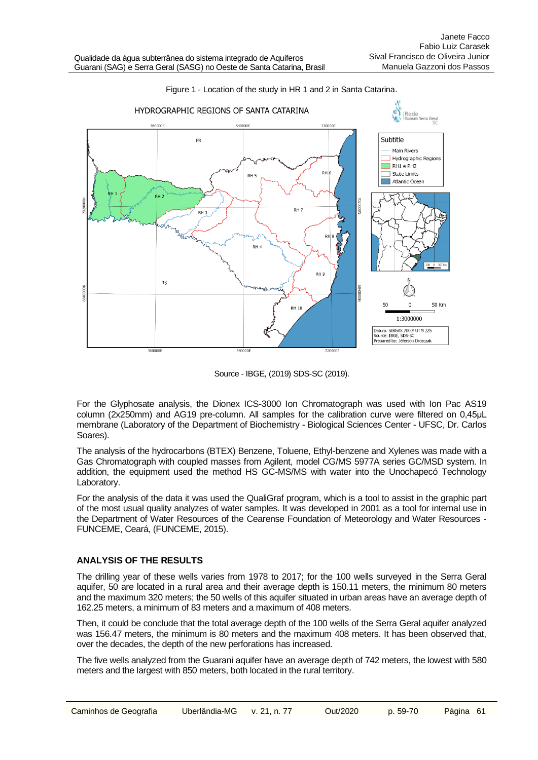

### Figure 1 - Location of the study in HR 1 and 2 in Santa Catarina.

Source - IBGE, (2019) SDS-SC (2019).

For the Glyphosate analysis, the Dionex ICS-3000 Ion Chromatograph was used with Ion Pac AS19 column (2x250mm) and AG19 pre-column. All samples for the calibration curve were filtered on 0,45μL membrane (Laboratory of the Department of Biochemistry - Biological Sciences Center - UFSC, Dr. Carlos Soares).

The analysis of the hydrocarbons (BTEX) Benzene, Toluene, Ethyl-benzene and Xylenes was made with a Gas Chromatograph with coupled masses from Agilent, model CG/MS 5977A series GC/MSD system. In addition, the equipment used the method HS GC-MS/MS with water into the Unochapecó Technology Laboratory.

For the analysis of the data it was used the QualiGraf program, which is a tool to assist in the graphic part of the most usual quality analyzes of water samples. It was developed in 2001 as a tool for internal use in the Department of Water Resources of the Cearense Foundation of Meteorology and Water Resources - FUNCEME, Ceará, (FUNCEME, 2015).

## **ANALYSIS OF THE RESULTS**

The drilling year of these wells varies from 1978 to 2017; for the 100 wells surveyed in the Serra Geral aquifer, 50 are located in a rural area and their average depth is 150.11 meters, the minimum 80 meters and the maximum 320 meters; the 50 wells of this aquifer situated in urban areas have an average depth of 162.25 meters, a minimum of 83 meters and a maximum of 408 meters.

Then, it could be conclude that the total average depth of the 100 wells of the Serra Geral aquifer analyzed was 156.47 meters, the minimum is 80 meters and the maximum 408 meters. It has been observed that, over the decades, the depth of the new perforations has increased.

The five wells analyzed from the Guarani aquifer have an average depth of 742 meters, the lowest with 580 meters and the largest with 850 meters, both located in the rural territory.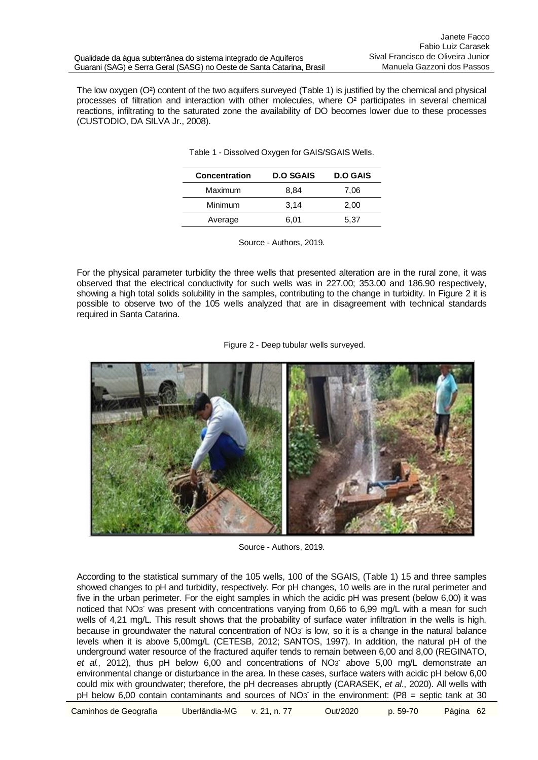The low oxygen (O²) content of the two aquifers surveyed (Table 1) is justified by the chemical and physical processes of filtration and interaction with other molecules, where O² participates in several chemical reactions, infiltrating to the saturated zone the availability of DO becomes lower due to these processes (CUSTODIO, DA SILVA Jr., 2008).

| Concentration | <b>D.O SGAIS</b> | <b>D.O GAIS</b> |  |
|---------------|------------------|-----------------|--|
| Maximum       | 8.84             | 7.06            |  |
| Minimum       | 3,14             | 2,00            |  |
| Average       | 6,01             | 5.37            |  |

Table 1 - Dissolved Oxygen for GAIS/SGAIS Wells.

| Source - Authors, 2019. |  |
|-------------------------|--|
|                         |  |

For the physical parameter turbidity the three wells that presented alteration are in the rural zone, it was observed that the electrical conductivity for such wells was in 227.00; 353.00 and 186.90 respectively, showing a high total solids solubility in the samples, contributing to the change in turbidity. In Figure 2 it is possible to observe two of the 105 wells analyzed that are in disagreement with technical standards required in Santa Catarina.





Source - Authors, 2019.

According to the statistical summary of the 105 wells, 100 of the SGAIS, (Table 1) 15 and three samples showed changes to pH and turbidity, respectively. For pH changes, 10 wells are in the rural perimeter and five in the urban perimeter. For the eight samples in which the acidic pH was present (below 6,00) it was noticed that NO<sub>3</sub> was present with concentrations varying from 0,66 to 6,99 mg/L with a mean for such wells of 4,21 mg/L. This result shows that the probability of surface water infiltration in the wells is high, because in groundwater the natural concentration of NO3 is low, so it is a change in the natural balance levels when it is above 5,00mg/L (CETESB, 2012; SANTOS, 1997). In addition, the natural pH of the underground water resource of the fractured aquifer tends to remain between 6,00 and 8,00 (REGINATO, et al., 2012), thus pH below 6,00 and concentrations of NO<sub>3</sub> above 5,00 mg/L demonstrate an environmental change or disturbance in the area. In these cases, surface waters with acidic pH below 6,00 could mix with groundwater; therefore, the pH decreases abruptly (CARASEK, *et al*., 2020). All wells with pH below 6,00 contain contaminants and sources of NO3 in the environment: (P8 = septic tank at 30

Caminhos de Geografia Uberlândia-MG v. 21, n. 77 Out/2020 p. 59-70 Página 62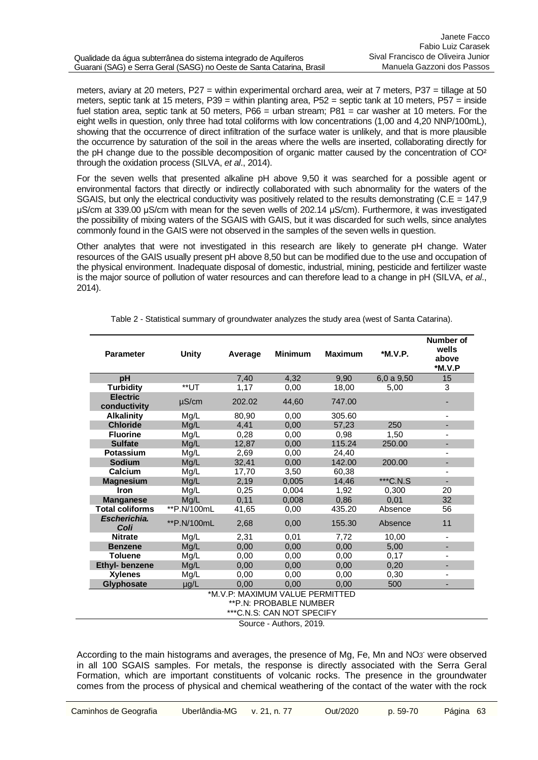meters, aviary at 20 meters, P27 = within experimental orchard area, weir at 7 meters, P37 = tillage at 50 meters, septic tank at 15 meters, P39 = within planting area, P52 = septic tank at 10 meters, P57 = inside fuel station area, septic tank at 50 meters, P66 = urban stream; P81 = car washer at 10 meters. For the eight wells in question, only three had total coliforms with low concentrations (1,00 and 4,20 NNP/100mL), showing that the occurrence of direct infiltration of the surface water is unlikely, and that is more plausible the occurrence by saturation of the soil in the areas where the wells are inserted, collaborating directly for the pH change due to the possible decomposition of organic matter caused by the concentration of CO² through the oxidation process (SILVA, *et al*., 2014).

For the seven wells that presented alkaline pH above 9,50 it was searched for a possible agent or environmental factors that directly or indirectly collaborated with such abnormality for the waters of the SGAIS, but only the electrical conductivity was positively related to the results demonstrating ( $C.E = 147.9$ ) μS/cm at 339.00 μS/cm with mean for the seven wells of 202.14 μS/cm). Furthermore, it was investigated the possibility of mixing waters of the SGAIS with GAIS, but it was discarded for such wells, since analytes commonly found in the GAIS were not observed in the samples of the seven wells in question.

Other analytes that were not investigated in this research are likely to generate pH change. Water resources of the GAIS usually present pH above 8,50 but can be modified due to the use and occupation of the physical environment. Inadequate disposal of domestic, industrial, mining, pesticide and fertilizer waste is the major source of pollution of water resources and can therefore lead to a change in pH (SILVA, *et al*., 2014).

| <b>Parameter</b>                | <b>Unity</b> | Average | <b>Minimum</b> | <b>Maximum</b> | *M.V.P.  | Number of<br>wells<br>above<br>*M.V.P |  |  |
|---------------------------------|--------------|---------|----------------|----------------|----------|---------------------------------------|--|--|
| рH                              |              | 7.40    | 4.32           | 9.90           | 6,0a9,50 | 15                                    |  |  |
| <b>Turbidity</b>                | **UT         | 1,17    | 0,00           | 18,00          | 5,00     | 3                                     |  |  |
| <b>Electric</b><br>conductivity | $\mu$ S/cm   | 202.02  | 44,60          | 747.00         |          |                                       |  |  |
| <b>Alkalinity</b>               | Mg/L         | 80,90   | 0,00           | 305.60         |          |                                       |  |  |
| <b>Chloride</b>                 | Mg/L         | 4.41    | 0.00           | 57.23          | 250      | $\overline{\phantom{a}}$              |  |  |
| <b>Fluorine</b>                 | Mg/L         | 0,28    | 0,00           | 0.98           | 1,50     |                                       |  |  |
| <b>Sulfate</b>                  | Mg/L         | 12.87   | 0.00           | 115.24         | 250.00   |                                       |  |  |
| <b>Potassium</b>                | Mg/L         | 2,69    | 0,00           | 24,40          |          | ۰                                     |  |  |
| <b>Sodium</b>                   | Mg/L         | 32,41   | 0,00           | 142.00         | 200.00   |                                       |  |  |
| Calcium                         | Mg/L         | 17,70   | 3,50           | 60,38          |          |                                       |  |  |
| <b>Magnesium</b>                | Mg/L         | 2,19    | 0,005          | 14.46          | ***C.N.S | ÷.                                    |  |  |
| Iron                            | Mg/L         | 0,25    | 0,004          | 1,92           | 0,300    | 20                                    |  |  |
| <b>Manganese</b>                | Mg/L         | 0,11    | 0,008          | 0,86           | 0,01     | 32                                    |  |  |
| <b>Total coliforms</b>          | **P.N/100mL  | 41,65   | 0,00           | 435.20         | Absence  | 56                                    |  |  |
| Escherichia.<br>Coli            | ** P.N/100mL | 2,68    | 0,00           | 155.30         | Absence  | 11                                    |  |  |
| <b>Nitrate</b>                  | Mg/L         | 2,31    | 0,01           | 7,72           | 10,00    | $\qquad \qquad \blacksquare$          |  |  |
| <b>Benzene</b>                  | Mg/L         | 0.00    | 0.00           | 0.00           | 5,00     |                                       |  |  |
| <b>Toluene</b>                  | Mg/L         | 0,00    | 0,00           | 0,00           | 0,17     | $\overline{\phantom{a}}$              |  |  |
| Ethyl- benzene                  | Mg/L         | 0,00    | 0.00           | 0.00           | 0,20     | -                                     |  |  |
| <b>Xylenes</b>                  | Mg/L         | 0,00    | 0,00           | 0.00           | 0,30     | $\overline{\phantom{a}}$              |  |  |
| <b>Glyphosate</b>               | µg/L         | 0.00    | 0,00           | 0.00           | 500      |                                       |  |  |
| *M.V.P: MAXIMUM VALUE PERMITTED |              |         |                |                |          |                                       |  |  |
| ** P.N: PROBABLE NUMBER         |              |         |                |                |          |                                       |  |  |
| *** C.N.S: CAN NOT SPECIFY      |              |         |                |                |          |                                       |  |  |
| Source - Authors, 2019.         |              |         |                |                |          |                                       |  |  |

Table 2 - Statistical summary of groundwater analyzes the study area (west of Santa Catarina).

According to the main histograms and averages, the presence of Mg, Fe, Mn and NO3 were observed in all 100 SGAIS samples. For metals, the response is directly associated with the Serra Geral Formation, which are important constituents of volcanic rocks. The presence in the groundwater comes from the process of physical and chemical weathering of the contact of the water with the rock

Janete Facco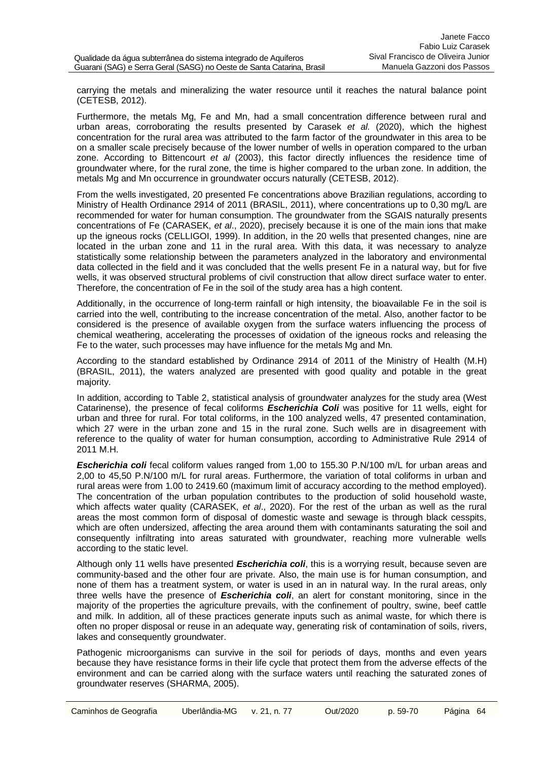carrying the metals and mineralizing the water resource until it reaches the natural balance point (CETESB, 2012).

Furthermore, the metals Mg, Fe and Mn, had a small concentration difference between rural and urban areas, corroborating the results presented by Carasek *et al.* (2020), which the highest concentration for the rural area was attributed to the farm factor of the groundwater in this area to be on a smaller scale precisely because of the lower number of wells in operation compared to the urban zone. According to Bittencourt *et al* (2003), this factor directly influences the residence time of groundwater where, for the rural zone, the time is higher compared to the urban zone. In addition, the metals Mg and Mn occurrence in groundwater occurs naturally (CETESB, 2012).

From the wells investigated, 20 presented Fe concentrations above Brazilian regulations, according to Ministry of Health Ordinance 2914 of 2011 (BRASIL, 2011), where concentrations up to 0,30 mg/L are recommended for water for human consumption. The groundwater from the SGAIS naturally presents concentrations of Fe (CARASEK, *et al*., 2020), precisely because it is one of the main ions that make up the igneous rocks (CELLIGOI, 1999). In addition, in the 20 wells that presented changes, nine are located in the urban zone and 11 in the rural area. With this data, it was necessary to analyze statistically some relationship between the parameters analyzed in the laboratory and environmental data collected in the field and it was concluded that the wells present Fe in a natural way, but for five wells, it was observed structural problems of civil construction that allow direct surface water to enter. Therefore, the concentration of Fe in the soil of the study area has a high content.

Additionally, in the occurrence of long-term rainfall or high intensity, the bioavailable Fe in the soil is carried into the well, contributing to the increase concentration of the metal. Also, another factor to be considered is the presence of available oxygen from the surface waters influencing the process of chemical weathering, accelerating the processes of oxidation of the igneous rocks and releasing the Fe to the water, such processes may have influence for the metals Mg and Mn.

According to the standard established by Ordinance 2914 of 2011 of the Ministry of Health (M.H) (BRASIL, 2011), the waters analyzed are presented with good quality and potable in the great majority.

In addition, according to Table 2, statistical analysis of groundwater analyzes for the study area (West Catarinense), the presence of fecal coliforms *Escherichia Coli* was positive for 11 wells, eight for urban and three for rural. For total coliforms, in the 100 analyzed wells, 47 presented contamination, which 27 were in the urban zone and 15 in the rural zone. Such wells are in disagreement with reference to the quality of water for human consumption, according to Administrative Rule 2914 of 2011 M.H.

*Escherichia coli* fecal coliform values ranged from 1,00 to 155.30 P.N/100 m/L for urban areas and 2,00 to 45,50 P.N/100 m/L for rural areas. Furthermore, the variation of total coliforms in urban and rural areas were from 1.00 to 2419.60 (maximum limit of accuracy according to the method employed). The concentration of the urban population contributes to the production of solid household waste, which affects water quality (CARASEK, *et al*., 2020). For the rest of the urban as well as the rural areas the most common form of disposal of domestic waste and sewage is through black cesspits, which are often undersized, affecting the area around them with contaminants saturating the soil and consequently infiltrating into areas saturated with groundwater, reaching more vulnerable wells according to the static level.

Although only 11 wells have presented *Escherichia coli*, this is a worrying result, because seven are community-based and the other four are private. Also, the main use is for human consumption, and none of them has a treatment system, or water is used in an in natural way. In the rural areas, only three wells have the presence of *Escherichia coli*, an alert for constant monitoring, since in the majority of the properties the agriculture prevails, with the confinement of poultry, swine, beef cattle and milk. In addition, all of these practices generate inputs such as animal waste, for which there is often no proper disposal or reuse in an adequate way, generating risk of contamination of soils, rivers, lakes and consequently groundwater.

Pathogenic microorganisms can survive in the soil for periods of days, months and even years because they have resistance forms in their life cycle that protect them from the adverse effects of the environment and can be carried along with the surface waters until reaching the saturated zones of groundwater reserves (SHARMA, 2005).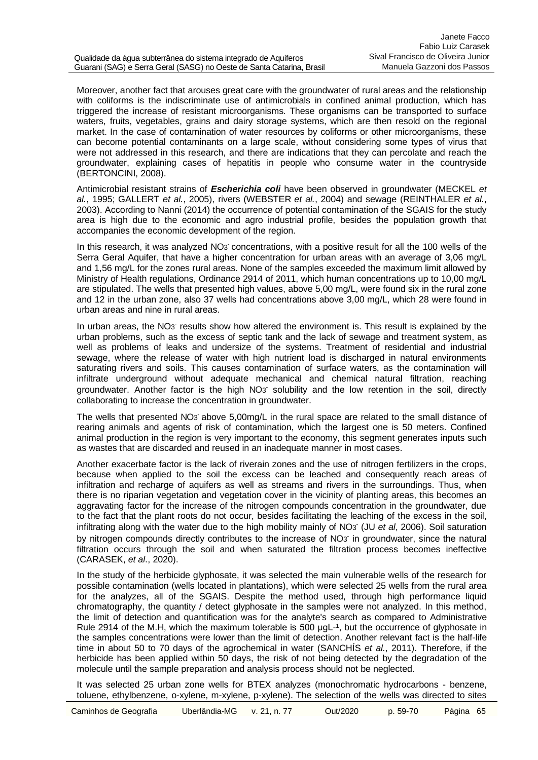Moreover, another fact that arouses great care with the groundwater of rural areas and the relationship with coliforms is the indiscriminate use of antimicrobials in confined animal production, which has triggered the increase of resistant microorganisms. These organisms can be transported to surface waters, fruits, vegetables, grains and dairy storage systems, which are then resold on the regional market. In the case of contamination of water resources by coliforms or other microorganisms, these can become potential contaminants on a large scale, without considering some types of virus that were not addressed in this research, and there are indications that they can percolate and reach the groundwater, explaining cases of hepatitis in people who consume water in the countryside (BERTONCINI, 2008).

Antimicrobial resistant strains of *Escherichia coli* have been observed in groundwater (MECKEL *et al.*, 1995; GALLERT *et al.*, 2005), rivers (WEBSTER *et al.*, 2004) and sewage (REINTHALER *et al.*, 2003). According to Nanni (2014) the occurrence of potential contamination of the SGAIS for the study area is high due to the economic and agro industrial profile, besides the population growth that accompanies the economic development of the region.

In this research, it was analyzed NO<sub>3</sub> concentrations, with a positive result for all the 100 wells of the Serra Geral Aquifer, that have a higher concentration for urban areas with an average of 3,06 mg/L and 1,56 mg/L for the zones rural areas. None of the samples exceeded the maximum limit allowed by Ministry of Health regulations, Ordinance 2914 of 2011, which human concentrations up to 10,00 mg/L are stipulated. The wells that presented high values, above 5,00 mg/L, were found six in the rural zone and 12 in the urban zone, also 37 wells had concentrations above 3,00 mg/L, which 28 were found in urban areas and nine in rural areas.

In urban areas, the NO<sub>3</sub> results show how altered the environment is. This result is explained by the urban problems, such as the excess of septic tank and the lack of sewage and treatment system, as well as problems of leaks and undersize of the systems. Treatment of residential and industrial sewage, where the release of water with high nutrient load is discharged in natural environments saturating rivers and soils. This causes contamination of surface waters, as the contamination will infiltrate underground without adequate mechanical and chemical natural filtration, reaching groundwater. Another factor is the high NO<sub>3</sub> solubility and the low retention in the soil, directly collaborating to increase the concentration in groundwater.

The wells that presented NO<sub>3</sub> above 5,00mg/L in the rural space are related to the small distance of rearing animals and agents of risk of contamination, which the largest one is 50 meters. Confined animal production in the region is very important to the economy, this segment generates inputs such as wastes that are discarded and reused in an inadequate manner in most cases.

Another exacerbate factor is the lack of riverain zones and the use of nitrogen fertilizers in the crops, because when applied to the soil the excess can be leached and consequently reach areas of infiltration and recharge of aquifers as well as streams and rivers in the surroundings. Thus, when there is no riparian vegetation and vegetation cover in the vicinity of planting areas, this becomes an aggravating factor for the increase of the nitrogen compounds concentration in the groundwater, due to the fact that the plant roots do not occur, besides facilitating the leaching of the excess in the soil, infiltrating along with the water due to the high mobility mainly of NO3 - (JU *et al*, 2006). Soil saturation by nitrogen compounds directly contributes to the increase of NO3 in groundwater, since the natural filtration occurs through the soil and when saturated the filtration process becomes ineffective (CARASEK, *et al*., 2020).

In the study of the herbicide glyphosate, it was selected the main vulnerable wells of the research for possible contamination (wells located in plantations), which were selected 25 wells from the rural area for the analyzes, all of the SGAIS. Despite the method used, through high performance liquid chromatography, the quantity / detect glyphosate in the samples were not analyzed. In this method, the limit of detection and quantification was for the analyte's search as compared to Administrative Rule 2914 of the M.H, which the maximum tolerable is  $500$  ugL $-1$ , but the occurrence of glyphosate in the samples concentrations were lower than the limit of detection. Another relevant fact is the half-life time in about 50 to 70 days of the agrochemical in water (SANCHÍS *et al.*, 2011). Therefore, if the herbicide has been applied within 50 days, the risk of not being detected by the degradation of the molecule until the sample preparation and analysis process should not be neglected.

It was selected 25 urban zone wells for BTEX analyzes (monochromatic hydrocarbons - benzene, toluene, ethylbenzene, o-xylene, m-xylene, p-xylene). The selection of the wells was directed to sites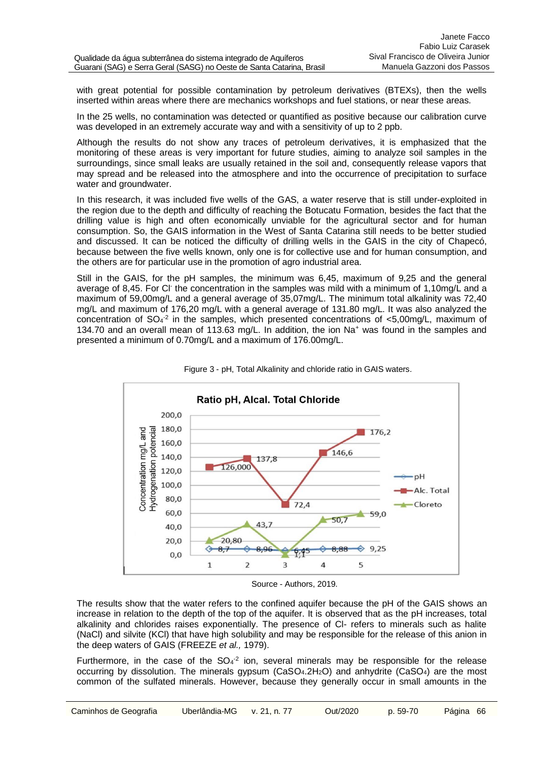with great potential for possible contamination by petroleum derivatives (BTEXs), then the wells inserted within areas where there are mechanics workshops and fuel stations, or near these areas.

In the 25 wells, no contamination was detected or quantified as positive because our calibration curve was developed in an extremely accurate way and with a sensitivity of up to 2 ppb.

Although the results do not show any traces of petroleum derivatives, it is emphasized that the monitoring of these areas is very important for future studies, aiming to analyze soil samples in the surroundings, since small leaks are usually retained in the soil and, consequently release vapors that may spread and be released into the atmosphere and into the occurrence of precipitation to surface water and groundwater.

In this research, it was included five wells of the GAS, a water reserve that is still under-exploited in the region due to the depth and difficulty of reaching the Botucatu Formation, besides the fact that the drilling value is high and often economically unviable for the agricultural sector and for human consumption. So, the GAIS information in the West of Santa Catarina still needs to be better studied and discussed. It can be noticed the difficulty of drilling wells in the GAIS in the city of Chapecó, because between the five wells known, only one is for collective use and for human consumption, and the others are for particular use in the promotion of agro industrial area.

Still in the GAIS, for the pH samples, the minimum was 6,45, maximum of 9,25 and the general average of 8,45. For CI the concentration in the samples was mild with a minimum of 1,10mg/L and a maximum of 59,00mg/L and a general average of 35,07mg/L. The minimum total alkalinity was 72,40 mg/L and maximum of 176,20 mg/L with a general average of 131.80 mg/L. It was also analyzed the concentration of  $SO_4^2$  in the samples, which presented concentrations of <5,00mg/L, maximum of 134.70 and an overall mean of 113.63 mg/L. In addition, the ion Na<sup>+</sup> was found in the samples and presented a minimum of 0.70mg/L and a maximum of 176.00mg/L.





Source - Authors, 2019.

The results show that the water refers to the confined aquifer because the pH of the GAIS shows an increase in relation to the depth of the top of the aquifer. It is observed that as the pH increases, total alkalinity and chlorides raises exponentially. The presence of Cl- refers to minerals such as halite (NaCl) and silvite (KCl) that have high solubility and may be responsible for the release of this anion in the deep waters of GAIS (FREEZE *et al.,* 1979).

Furthermore, in the case of the  $SO_4^{-2}$  ion, several minerals may be responsible for the release occurring by dissolution. The minerals gypsum ( $CaSO<sub>4</sub>2H<sub>2</sub>O$ ) and anhydrite ( $CaSO<sub>4</sub>$ ) are the most common of the sulfated minerals. However, because they generally occur in small amounts in the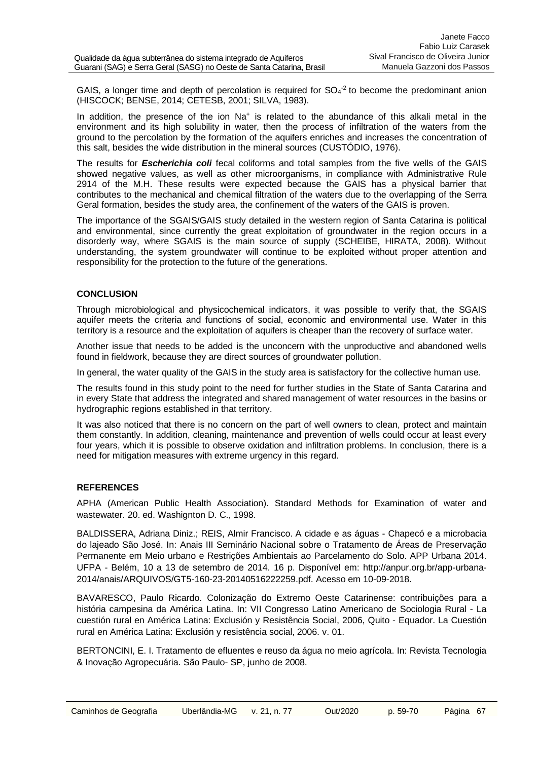GAIS, a longer time and depth of percolation is required for  $SO<sub>4</sub><sup>-2</sup>$  to become the predominant anion (HISCOCK; BENSE, 2014; CETESB, 2001; SILVA, 1983).

In addition, the presence of the ion Na<sup>+</sup> is related to the abundance of this alkali metal in the environment and its high solubility in water, then the process of infiltration of the waters from the ground to the percolation by the formation of the aquifers enriches and increases the concentration of this salt, besides the wide distribution in the mineral sources (CUSTÓDIO, 1976).

The results for *Escherichia coli* fecal coliforms and total samples from the five wells of the GAIS showed negative values, as well as other microorganisms, in compliance with Administrative Rule 2914 of the M.H. These results were expected because the GAIS has a physical barrier that contributes to the mechanical and chemical filtration of the waters due to the overlapping of the Serra Geral formation, besides the study area, the confinement of the waters of the GAIS is proven.

The importance of the SGAIS/GAIS study detailed in the western region of Santa Catarina is political and environmental, since currently the great exploitation of groundwater in the region occurs in a disorderly way, where SGAIS is the main source of supply (SCHEIBE, HIRATA, 2008). Without understanding, the system groundwater will continue to be exploited without proper attention and responsibility for the protection to the future of the generations.

## **CONCLUSION**

Through microbiological and physicochemical indicators, it was possible to verify that, the SGAIS aquifer meets the criteria and functions of social, economic and environmental use. Water in this territory is a resource and the exploitation of aquifers is cheaper than the recovery of surface water.

Another issue that needs to be added is the unconcern with the unproductive and abandoned wells found in fieldwork, because they are direct sources of groundwater pollution.

In general, the water quality of the GAIS in the study area is satisfactory for the collective human use.

The results found in this study point to the need for further studies in the State of Santa Catarina and in every State that address the integrated and shared management of water resources in the basins or hydrographic regions established in that territory.

It was also noticed that there is no concern on the part of well owners to clean, protect and maintain them constantly. In addition, cleaning, maintenance and prevention of wells could occur at least every four years, which it is possible to observe oxidation and infiltration problems. In conclusion, there is a need for mitigation measures with extreme urgency in this regard.

# **REFERENCES**

APHA (American Public Health Association). Standard Methods for Examination of water and wastewater. 20. ed. Washignton D. C., 1998.

BALDISSERA, Adriana Diniz.; REIS, Almir Francisco. A cidade e as águas - Chapecó e a microbacia do lajeado São José. In: Anais III Seminário Nacional sobre o Tratamento de Áreas de Preservação Permanente em Meio urbano e Restrições Ambientais ao Parcelamento do Solo. APP Urbana 2014. UFPA - Belém, 10 a 13 de setembro de 2014. 16 p. Disponível em: http://anpur.org.br/app-urbana-2014/anais/ARQUIVOS/GT5-160-23-20140516222259.pdf. Acesso em 10-09-2018.

BAVARESCO, Paulo Ricardo. Colonização do Extremo Oeste Catarinense: contribuições para a história campesina da América Latina. In: VII Congresso Latino Americano de Sociologia Rural - La cuestión rural en América Latina: Exclusión y Resistência Social, 2006, Quito - Equador. La Cuestión rural en América Latina: Exclusión y resistência social, 2006. v. 01.

BERTONCINI, E. I. Tratamento de efluentes e reuso da água no meio agrícola. In: Revista Tecnologia & Inovação Agropecuária. São Paulo- SP, junho de 2008.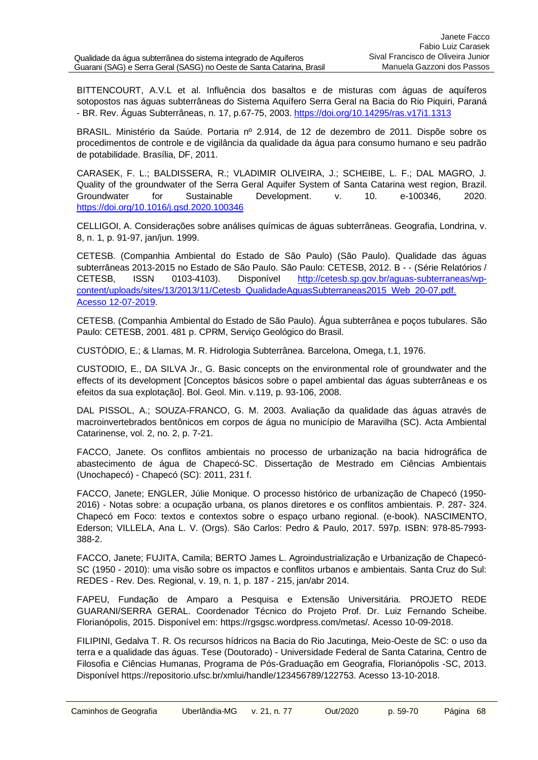BITTENCOURT, A.V.L et al. Influência dos basaltos e de misturas com águas de aquíferos sotopostos nas águas subterrâneas do Sistema Aquífero Serra Geral na Bacia do Rio Piquiri, Paraná - BR. Rev. Águas Subterrâneas, n. 17, p.67-75, 2003. <https://doi.org/10.14295/ras.v17i1.1313>

BRASIL. Ministério da Saúde. Portaria nº 2.914, de 12 de dezembro de 2011. Dispõe sobre os procedimentos de controle e de vigilância da qualidade da água para consumo humano e seu padrão de potabilidade. Brasília, DF, 2011.

CARASEK, F. L.; BALDISSERA, R.; VLADIMIR OLIVEIRA, J.; SCHEIBE, L. F.; DAL MAGRO, J. Quality of the groundwater of the Serra Geral Aquifer System of Santa Catarina west region, Brazil. Groundwater for Sustainable Development. v. 10. e-100346, 2020. <https://doi.org/10.1016/j.gsd.2020.100346>

CELLIGOI, A. Considerações sobre análises químicas de águas subterrâneas. Geografia, Londrina, v. 8, n. 1, p. 91-97, jan/jun. 1999.

CETESB. (Companhia Ambiental do Estado de São Paulo) (São Paulo). Qualidade das águas subterrâneas 2013-2015 no Estado de São Paulo. São Paulo: CETESB, 2012. B - - (Série Relatórios / CETESB, ISSN 0103-4103). Disponível [http://cetesb.sp.gov.br/aguas-subterraneas/wp](http://cetesb.sp.gov.br/aguas-subterraneas/wp-content/uploads/sites/13/2013/11/Cetesb_QualidadeAguasSubterraneas2015_Web_20-07.pdf.%20Acesso%2012-07-2019)content/uploads/sites/13/2013/11/Cetesb\_QualidadeAguasSubterraneas2015\_Web\_20-07.pdf. [Acesso 12-07-2019.](http://cetesb.sp.gov.br/aguas-subterraneas/wp-content/uploads/sites/13/2013/11/Cetesb_QualidadeAguasSubterraneas2015_Web_20-07.pdf.%20Acesso%2012-07-2019)

CETESB. (Companhia Ambiental do Estado de São Paulo). Água subterrânea e poços tubulares. São Paulo: CETESB, 2001. 481 p. CPRM, Serviço Geológico do Brasil.

CUSTÓDIO, E.; & Llamas, M. R. Hidrologia Subterrânea. Barcelona, Omega, t.1, 1976.

CUSTODIO, E., DA SILVA Jr., G. Basic concepts on the environmental role of groundwater and the effects of its development [Conceptos básicos sobre o papel ambiental das águas subterrâneas e os efeitos da sua explotação]. Bol. Geol. Min. v.119, p. 93-106, 2008.

DAL PISSOL, A.; SOUZA-FRANCO, G. M. 2003. Avaliação da qualidade das águas através de macroinvertebrados bentônicos em corpos de água no município de Maravilha (SC). Acta Ambiental Catarinense, vol. 2, no. 2, p. 7-21.

FACCO, Janete. Os conflitos ambientais no processo de urbanização na bacia hidrográfica de abastecimento de água de Chapecó-SC. Dissertação de Mestrado em Ciências Ambientais (Unochapecó) - Chapecó (SC): 2011, 231 f.

FACCO, Janete; ENGLER, Júlie Monique. O processo histórico de urbanização de Chapecó (1950- 2016) - Notas sobre: a ocupação urbana, os planos diretores e os conflitos ambientais. P. 287- 324. Chapecó em Foco: textos e contextos sobre o espaço urbano regional. (e-book). NASCIMENTO, Ederson; VILLELA, Ana L. V. (Orgs). São Carlos: Pedro & Paulo, 2017. 597p. ISBN: 978-85-7993- 388-2.

FACCO, Janete; FUJITA, Camila; BERTO James L. Agroindustrialização e Urbanização de Chapecó-SC (1950 - 2010): uma visão sobre os impactos e conflitos urbanos e ambientais. Santa Cruz do Sul: REDES - Rev. Des. Regional, v. 19, n. 1, p. 187 - 215, jan/abr 2014.

FAPEU, Fundação de Amparo a Pesquisa e Extensão Universitária. PROJETO REDE GUARANI/SERRA GERAL. Coordenador Técnico do Projeto Prof. Dr. Luiz Fernando Scheibe. Florianópolis, 2015. Disponível em: https://rgsgsc.wordpress.com/metas/. Acesso 10-09-2018.

FILIPINI, Gedalva T. R. Os recursos hídricos na Bacia do Rio Jacutinga, Meio-Oeste de SC: o uso da terra e a qualidade das águas. Tese (Doutorado) - Universidade Federal de Santa Catarina, Centro de Filosofia e Ciências Humanas, Programa de Pós-Graduação em Geografia, Florianópolis -SC, 2013. Disponível https://repositorio.ufsc.br/xmlui/handle/123456789/122753. Acesso 13-10-2018.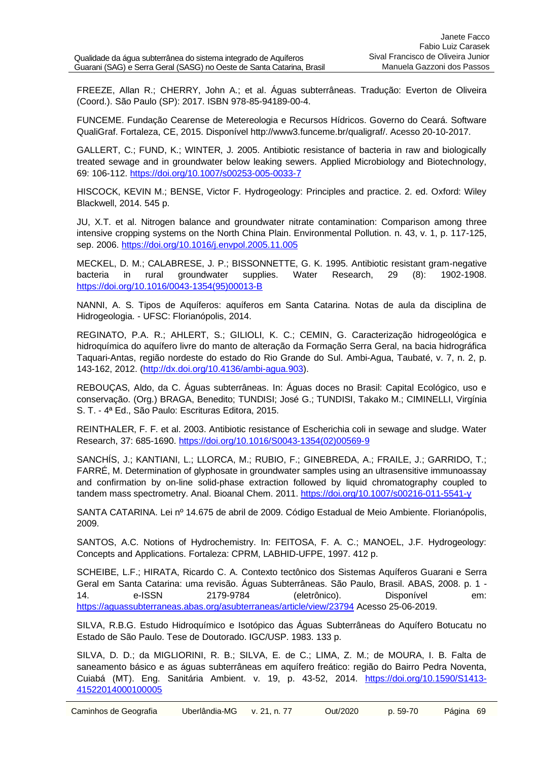FREEZE, Allan R.; CHERRY, John A.; et al. Águas subterrâneas. Tradução: Everton de Oliveira (Coord.). São Paulo (SP): 2017. ISBN 978-85-94189-00-4.

FUNCEME. Fundação Cearense de Metereologia e Recursos Hídricos. Governo do Ceará. Software QualiGraf. Fortaleza, CE, 2015. Disponível http://www3.funceme.br/qualigraf/. Acesso 20-10-2017.

GALLERT, C.; FUND, K.; WINTER, J. 2005. Antibiotic resistance of bacteria in raw and biologically treated sewage and in groundwater below leaking sewers. Applied Microbiology and Biotechnology, 69: 106-112. <https://doi.org/10.1007/s00253-005-0033-7>

HISCOCK, KEVIN M.; BENSE, Victor F. Hydrogeology: Principles and practice. 2. ed. Oxford: Wiley Blackwell, 2014. 545 p.

JU, X.T. et al. Nitrogen balance and groundwater nitrate contamination: Comparison among three intensive cropping systems on the North China Plain. Environmental Pollution. n. 43, v. 1, p. 117-125, sep. 2006. <https://doi.org/10.1016/j.envpol.2005.11.005>

MECKEL, D. M.; CALABRESE, J. P.; BISSONNETTE, G. K. 1995. Antibiotic resistant gram-negative bacteria in rural groundwater supplies. Water Research, 29 (8): 1902-1908. [https://doi.org/10.1016/0043-1354\(95\)00013-B](https://doi.org/10.1016/0043-1354(95)00013-B)

NANNI, A. S. Tipos de Aquíferos: aquíferos em Santa Catarina. Notas de aula da disciplina de Hidrogeologia. - UFSC: Florianópolis, 2014.

REGINATO, P.A. R.; AHLERT, S.; GILIOLI, K. C.; CEMIN, G. Caracterização hidrogeológica e hidroquímica do aquífero livre do manto de alteração da Formação Serra Geral, na bacia hidrográfica Taquari-Antas, região nordeste do estado do Rio Grande do Sul. Ambi-Agua, Taubaté, v. 7, n. 2, p. 143-162, 2012. [\(http://dx.doi.org/10.4136/ambi-agua.903\)](http://dx.doi.org/10.4136/ambi-agua.903).

REBOUÇAS, Aldo, da C. Águas subterrâneas. In: Águas doces no Brasil: Capital Ecológico, uso e conservação. (Org.) BRAGA, Benedito; TUNDISI; José G.; TUNDISI, Takako M.; CIMINELLI, Virgínia S. T. - 4ª Ed., São Paulo: Escrituras Editora, 2015.

REINTHALER, F. F. et al. 2003. Antibiotic resistance of Escherichia coli in sewage and sludge. Water Research, 37: 685-1690. [https://doi.org/10.1016/S0043-1354\(02\)00569-9](https://doi.org/10.1016/S0043-1354(02)00569-9)

SANCHÍS, J.; KANTIANI, L.; LLORCA, M.; RUBIO, F.; GINEBREDA, A.; FRAILE, J.; GARRIDO, T.; FARRÉ, M. Determination of glyphosate in groundwater samples using an ultrasensitive immunoassay and confirmation by on-line solid-phase extraction followed by liquid chromatography coupled to tandem mass spectrometry. Anal. Bioanal Chem. 2011. <https://doi.org/10.1007/s00216-011-5541-y>

SANTA CATARINA. Lei nº 14.675 de abril de 2009. Código Estadual de Meio Ambiente. Florianópolis, 2009.

SANTOS, A.C. Notions of Hydrochemistry. In: FEITOSA, F. A. C.; MANOEL, J.F. Hydrogeology: Concepts and Applications. Fortaleza: CPRM, LABHID-UFPE, 1997. 412 p.

SCHEIBE, L.F.; HIRATA, Ricardo C. A. Contexto tectônico dos Sistemas Aquíferos Guarani e Serra Geral em Santa Catarina: uma revisão. Águas Subterrâneas. São Paulo, Brasil. ABAS, 2008. p. 1 - 14. e-ISSN 2179-9784 (eletrônico). Disponível em: <https://aguassubterraneas.abas.org/asubterraneas/article/view/23794> Acesso 25-06-2019.

SILVA, R.B.G. Estudo Hidroquímico e Isotópico das Águas Subterrâneas do Aquífero Botucatu no Estado de São Paulo. Tese de Doutorado. IGC/USP. 1983. 133 p.

SILVA, D. D.; da MIGLIORINI, R. B.; SILVA, E. de C.; LIMA, Z. M.; de MOURA, I. B. Falta de saneamento básico e as águas subterrâneas em aquífero freático: região do Bairro Pedra Noventa, Cuiabá (MT). Eng. Sanitária Ambient. v. 19, p. 43-52, 2014. [https://doi.org/10.1590/S1413-](https://doi.org/10.1590/S1413-41522014000100005) [41522014000100005](https://doi.org/10.1590/S1413-41522014000100005)